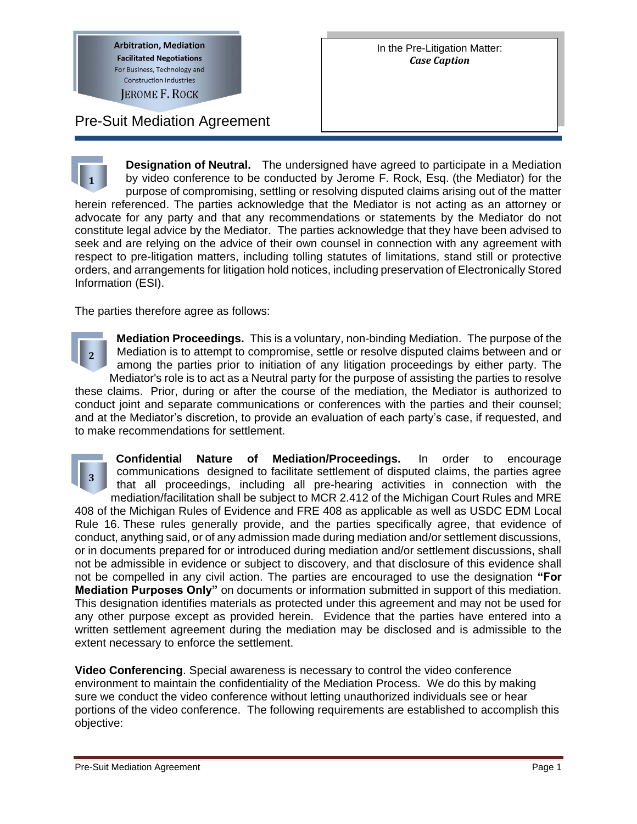**Arbitration, Mediation Facilitated Negotiations** For Business, Technology and **Construction Industries** 

**JEROME F. ROCK** 

Pre-Suit Mediation Agreement

**Designation of Neutral.** The undersigned have agreed to participate in a Mediation by video conference to be conducted by Jerome F. Rock, Esq. (the Mediator) for the purpose of compromising, settling or resolving disputed claims arising out of the matter herein referenced. The parties acknowledge that the Mediator is not acting as an attorney or advocate for any party and that any recommendations or statements by the Mediator do not constitute legal advice by the Mediator. The parties acknowledge that they have been advised to seek and are relying on the advice of their own counsel in connection with any agreement with respect to pre-litigation matters, including tolling statutes of limitations, stand still or protective orders, and arrangements for litigation hold notices, including preservation of Electronically Stored Information (ESI). **1**

The parties therefore agree as follows:

**Mediation Proceedings.** This is a voluntary, non-binding Mediation. The purpose of the Mediation is to attempt to compromise, settle or resolve disputed claims between and or among the parties prior to initiation of any litigation proceedings by either party. The Mediator's role is to act as a Neutral party for the purpose of assisting the parties to resolve these claims. Prior, during or after the course of the mediation, the Mediator is authorized to conduct joint and separate communications or conferences with the parties and their counsel; and at the Mediator's discretion, to provide an evaluation of each party's case, if requested, and to make recommendations for settlement. **2**

**Confidential Nature of Mediation/Proceedings.** In order to encourage communications designed to facilitate settlement of disputed claims, the parties agree that all proceedings, including all pre-hearing activities in connection with the mediation/facilitation shall be subject to MCR 2.412 of the Michigan Court Rules and MRE 408 of the Michigan Rules of Evidence and FRE 408 as applicable as well as USDC EDM Local Rule 16. These rules generally provide, and the parties specifically agree, that evidence of conduct, anything said, or of any admission made during mediation and/or settlement discussions, or in documents prepared for or introduced during mediation and/or settlement discussions, shall not be admissible in evidence or subject to discovery, and that disclosure of this evidence shall not be compelled in any civil action. The parties are encouraged to use the designation **"For Mediation Purposes Only"** on documents or information submitted in support of this mediation. This designation identifies materials as protected under this agreement and may not be used for any other purpose except as provided herein. Evidence that the parties have entered into a written settlement agreement during the mediation may be disclosed and is admissible to the extent necessary to enforce the settlement. **3**

**Video Conferencing**. Special awareness is necessary to control the video conference environment to maintain the confidentiality of the Mediation Process. We do this by making sure we conduct the video conference without letting unauthorized individuals see or hear portions of the video conference. The following requirements are established to accomplish this objective: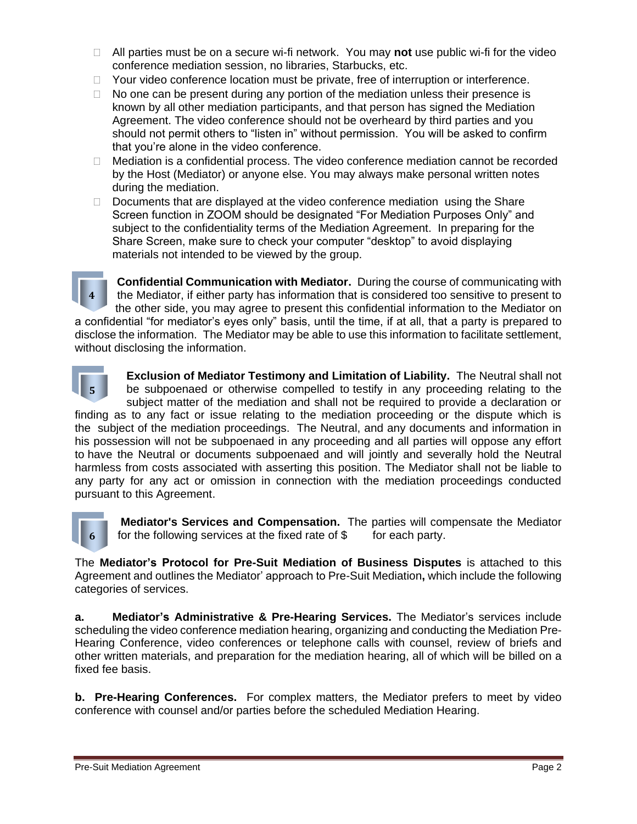- All parties must be on a secure wi-fi network. You may **not** use public wi-fi for the video conference mediation session, no libraries, Starbucks, etc.
- □ Your video conference location must be private, free of interruption or interference.
- $\Box$  No one can be present during any portion of the mediation unless their presence is known by all other mediation participants, and that person has signed the Mediation Agreement. The video conference should not be overheard by third parties and you should not permit others to "listen in" without permission. You will be asked to confirm that you're alone in the video conference.
- $\Box$  Mediation is a confidential process. The video conference mediation cannot be recorded by the Host (Mediator) or anyone else. You may always make personal written notes during the mediation.
- $\Box$  Documents that are displayed at the video conference mediation using the Share Screen function in ZOOM should be designated "For Mediation Purposes Only" and subject to the confidentiality terms of the Mediation Agreement. In preparing for the Share Screen, make sure to check your computer "desktop" to avoid displaying materials not intended to be viewed by the group.

**Confidential Communication with Mediator.** During the course of communicating with the Mediator, if either party has information that is considered too sensitive to present to the other side, you may agree to present this confidential information to the Mediator on a confidential "for mediator's eyes only" basis, until the time, if at all, that a party is prepared to disclose the information. The Mediator may be able to use this information to facilitate settlement, without disclosing the information. **4**



**Exclusion of Mediator Testimony and Limitation of Liability.** The Neutral shall not be subpoenaed or otherwise compelled to testify in any proceeding relating to the subject matter of the mediation and shall not be required to provide a declaration or

finding as to any fact or issue relating to the mediation proceeding or the dispute which is the subject of the mediation proceedings. The Neutral, and any documents and information in his possession will not be subpoenaed in any proceeding and all parties will oppose any effort to have the Neutral or documents subpoenaed and will jointly and severally hold the Neutral harmless from costs associated with asserting this position. The Mediator shall not be liable to any party for any act or omission in connection with the mediation proceedings conducted pursuant to this Agreement.



**Mediator's Services and Compensation.** The parties will compensate the Mediator for the following services at the fixed rate of  $$$  for each party.

The **Mediator's Protocol for Pre-Suit Mediation of Business Disputes** is attached to this Agreement and outlines the Mediator' approach to Pre-Suit Mediation**,** which include the following categories of services.

**a. Mediator's Administrative & Pre-Hearing Services.** The Mediator's services include scheduling the video conference mediation hearing, organizing and conducting the Mediation Pre-Hearing Conference, video conferences or telephone calls with counsel, review of briefs and other written materials, and preparation for the mediation hearing, all of which will be billed on a fixed fee basis.

**b. Pre-Hearing Conferences.** For complex matters, the Mediator prefers to meet by video conference with counsel and/or parties before the scheduled Mediation Hearing.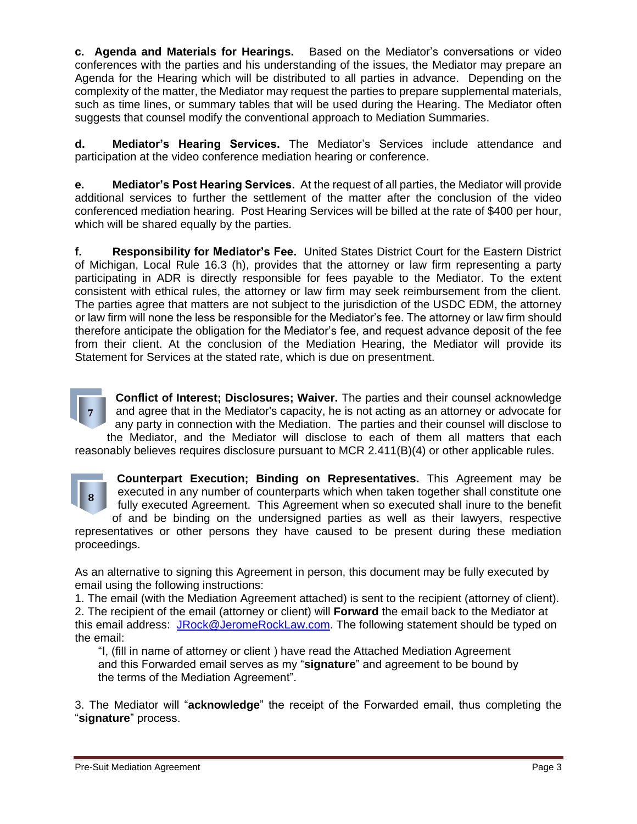**c. Agenda and Materials for Hearings.** Based on the Mediator's conversations or video conferences with the parties and his understanding of the issues, the Mediator may prepare an Agenda for the Hearing which will be distributed to all parties in advance. Depending on the complexity of the matter, the Mediator may request the parties to prepare supplemental materials, such as time lines, or summary tables that will be used during the Hearing. The Mediator often suggests that counsel modify the conventional approach to Mediation Summaries.

**d. Mediator's Hearing Services.** The Mediator's Services include attendance and participation at the video conference mediation hearing or conference.

**e. Mediator's Post Hearing Services.** At the request of all parties, the Mediator will provide additional services to further the settlement of the matter after the conclusion of the video conferenced mediation hearing. Post Hearing Services will be billed at the rate of \$400 per hour, which will be shared equally by the parties.

**f. Responsibility for Mediator's Fee.** United States District Court for the Eastern District of Michigan, Local Rule 16.3 (h), provides that the attorney or law firm representing a party participating in ADR is directly responsible for fees payable to the Mediator. To the extent consistent with ethical rules, the attorney or law firm may seek reimbursement from the client. The parties agree that matters are not subject to the jurisdiction of the USDC EDM, the attorney or law firm will none the less be responsible for the Mediator's fee. The attorney or law firm should therefore anticipate the obligation for the Mediator's fee, and request advance deposit of the fee from their client. At the conclusion of the Mediation Hearing, the Mediator will provide its Statement for Services at the stated rate, which is due on presentment.

**7**

**Conflict of Interest; Disclosures; Waiver.** The parties and their counsel acknowledge and agree that in the Mediator's capacity, he is not acting as an attorney or advocate for any party in connection with the Mediation. The parties and their counsel will disclose to the Mediator, and the Mediator will disclose to each of them all matters that each reasonably believes requires disclosure pursuant to MCR 2.411(B)(4) or other applicable rules.



**Counterpart Execution; Binding on Representatives.** This Agreement may be executed in any number of counterparts which when taken together shall constitute one fully executed Agreement. This Agreement when so executed shall inure to the benefit of and be binding on the undersigned parties as well as their lawyers, respective

representatives or other persons they have caused to be present during these mediation proceedings.

As an alternative to signing this Agreement in person, this document may be fully executed by email using the following instructions:

1. The email (with the Mediation Agreement attached) is sent to the recipient (attorney of client). 2. The recipient of the email (attorney or client) will **Forward** the email back to the Mediator at this email address: [JRock@JeromeRockLaw.com.](mailto:JRock@JeromeRockLaw.com) The following statement should be typed on the email:

"I, (fill in name of attorney or client ) have read the Attached Mediation Agreement and this Forwarded email serves as my "**signature**" and agreement to be bound by the terms of the Mediation Agreement".

3. The Mediator will "**acknowledge**" the receipt of the Forwarded email, thus completing the "**signature**" process.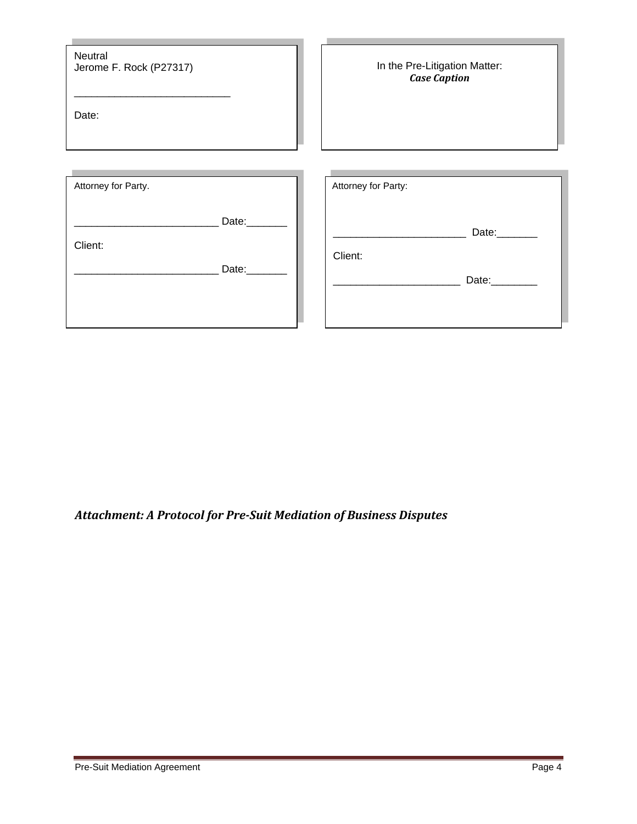| Neutral<br>Jerome F. Rock (P27317)<br>Date: |       | In the Pre-Litigation Matter:<br><b>Case Caption</b> |
|---------------------------------------------|-------|------------------------------------------------------|
| Attorney for Party.                         |       | Attorney for Party:                                  |
| Client:                                     | Date: | Date:                                                |
|                                             | Date: | Client:<br>Date:________                             |
|                                             |       |                                                      |

#### *Attachment: A Protocol for Pre-Suit Mediation of Business Disputes*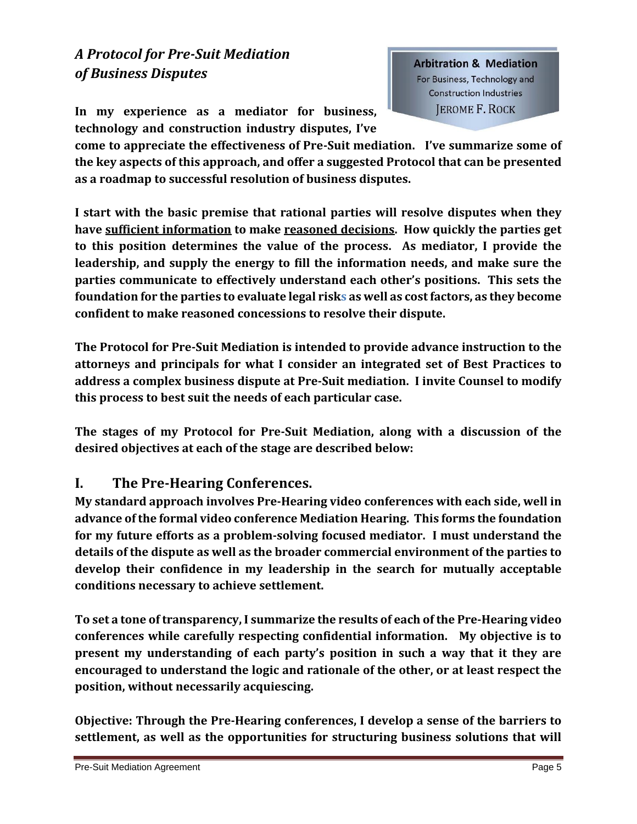# *A Protocol for Pre-Suit Mediation of Business Disputes*

**In my experience as a mediator for business, technology and construction industry disputes, I've**  **Arbitration & Mediation** For Business, Technology and **Construction Industries JEROME F. ROCK** 

**come to appreciate the effectiveness of Pre-Suit mediation. I've summarize some of the key aspects of this approach, and offer a suggested Protocol that can be presented as a roadmap to successful resolution of business disputes.**

**I start with the basic premise that rational parties will resolve disputes when they have sufficient information to make reasoned decisions. How quickly the parties get to this position determines the value of the process. As mediator, I provide the leadership, and supply the energy to fill the information needs, and make sure the parties communicate to effectively understand each other's positions. This sets the foundation for the parties to evaluate legal risks as well as cost factors, as they become confident to make reasoned concessions to resolve their dispute.**

**The Protocol for Pre-Suit Mediation is intended to provide advance instruction to the attorneys and principals for what I consider an integrated set of Best Practices to address a complex business dispute at Pre-Suit mediation. I invite Counsel to modify this process to best suit the needs of each particular case.**

**The stages of my Protocol for Pre-Suit Mediation, along with a discussion of the desired objectives at each of the stage are described below:**

#### **I. The Pre-Hearing Conferences.**

**My standard approach involves Pre-Hearing video conferences with each side, well in advance of the formal video conference Mediation Hearing. This forms the foundation for my future efforts as a problem-solving focused mediator. I must understand the details of the dispute as well as the broader commercial environment of the parties to develop their confidence in my leadership in the search for mutually acceptable conditions necessary to achieve settlement.**

**To set a tone of transparency, I summarize the results of each of the Pre-Hearing video conferences while carefully respecting confidential information. My objective is to present my understanding of each party's position in such a way that it they are encouraged to understand the logic and rationale of the other, or at least respect the position, without necessarily acquiescing.**

**Objective: Through the Pre-Hearing conferences, I develop a sense of the barriers to settlement, as well as the opportunities for structuring business solutions that will**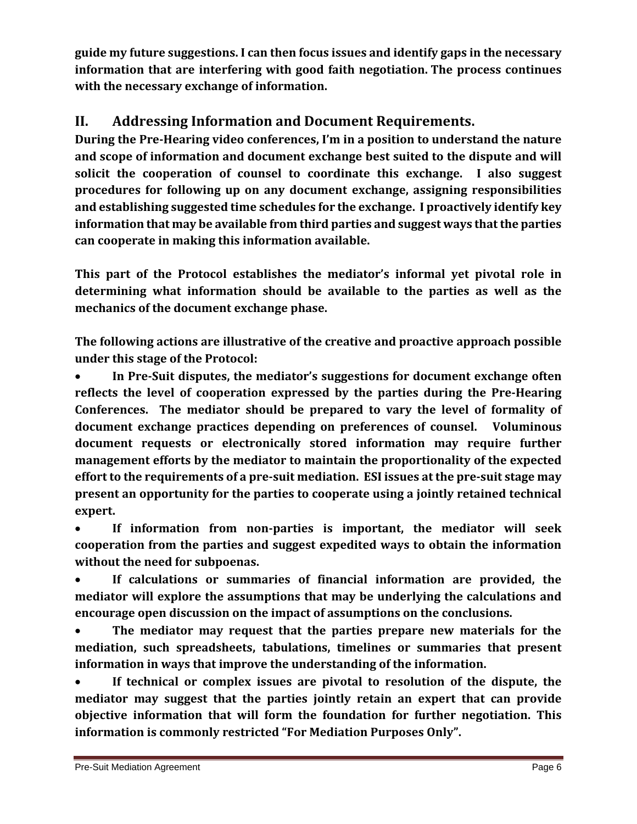**guide my future suggestions. I can then focus issues and identify gaps in the necessary information that are interfering with good faith negotiation. The process continues with the necessary exchange of information.**

## **II. Addressing Information and Document Requirements.**

**During the Pre-Hearing video conferences, I'm in a position to understand the nature and scope of information and document exchange best suited to the dispute and will solicit the cooperation of counsel to coordinate this exchange. I also suggest procedures for following up on any document exchange, assigning responsibilities and establishing suggested time schedules for the exchange. I proactively identify key information that may be available from third parties and suggest ways that the parties can cooperate in making this information available.**

**This part of the Protocol establishes the mediator's informal yet pivotal role in determining what information should be available to the parties as well as the mechanics of the document exchange phase.**

**The following actions are illustrative of the creative and proactive approach possible under this stage of the Protocol:**

• **In Pre-Suit disputes, the mediator's suggestions for document exchange often reflects the level of cooperation expressed by the parties during the Pre-Hearing Conferences. The mediator should be prepared to vary the level of formality of document exchange practices depending on preferences of counsel. Voluminous document requests or electronically stored information may require further management efforts by the mediator to maintain the proportionality of the expected effort to the requirements of a pre-suit mediation. ESI issues at the pre-suit stage may present an opportunity for the parties to cooperate using a jointly retained technical expert.**

• **If information from non-parties is important, the mediator will seek cooperation from the parties and suggest expedited ways to obtain the information without the need for subpoenas.**

• **If calculations or summaries of financial information are provided, the mediator will explore the assumptions that may be underlying the calculations and encourage open discussion on the impact of assumptions on the conclusions.**

• **The mediator may request that the parties prepare new materials for the mediation, such spreadsheets, tabulations, timelines or summaries that present information in ways that improve the understanding of the information.**

• **If technical or complex issues are pivotal to resolution of the dispute, the mediator may suggest that the parties jointly retain an expert that can provide objective information that will form the foundation for further negotiation. This information is commonly restricted "For Mediation Purposes Only".**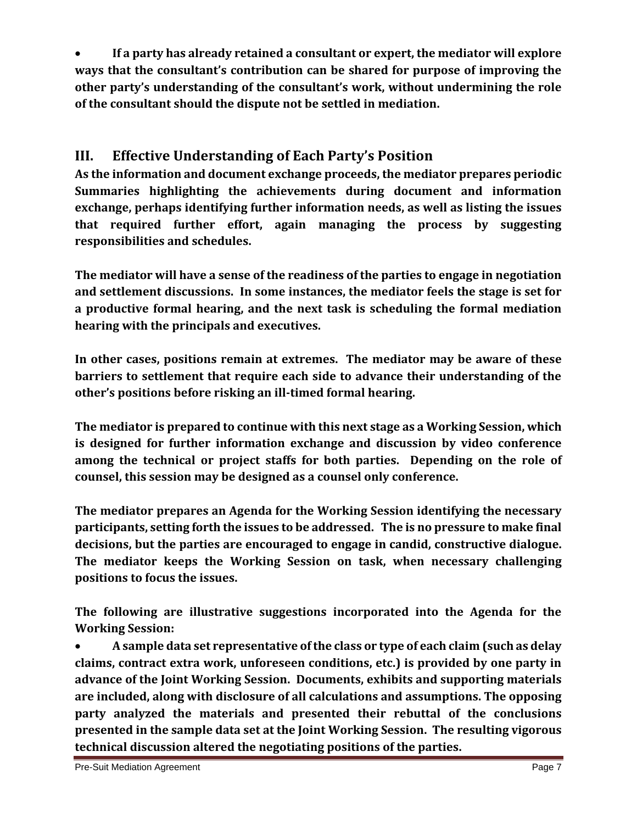• **If a party has already retained a consultant or expert, the mediator will explore ways that the consultant's contribution can be shared for purpose of improving the other party's understanding of the consultant's work, without undermining the role of the consultant should the dispute not be settled in mediation.**

## **III. Effective Understanding of Each Party's Position**

**As the information and document exchange proceeds, the mediator prepares periodic Summaries highlighting the achievements during document and information exchange, perhaps identifying further information needs, as well as listing the issues that required further effort, again managing the process by suggesting responsibilities and schedules.**

**The mediator will have a sense of the readiness of the parties to engage in negotiation and settlement discussions. In some instances, the mediator feels the stage is set for a productive formal hearing, and the next task is scheduling the formal mediation hearing with the principals and executives.**

**In other cases, positions remain at extremes. The mediator may be aware of these barriers to settlement that require each side to advance their understanding of the other's positions before risking an ill-timed formal hearing.**

**The mediator is prepared to continue with this next stage as a Working Session, which is designed for further information exchange and discussion by video conference among the technical or project staffs for both parties. Depending on the role of counsel, this session may be designed as a counsel only conference.**

**The mediator prepares an Agenda for the Working Session identifying the necessary participants, setting forth the issues to be addressed. The is no pressure to make final decisions, but the parties are encouraged to engage in candid, constructive dialogue. The mediator keeps the Working Session on task, when necessary challenging positions to focus the issues.**

**The following are illustrative suggestions incorporated into the Agenda for the Working Session:**

• **A sample data set representative of the class or type of each claim (such as delay claims, contract extra work, unforeseen conditions, etc.) is provided by one party in advance of the Joint Working Session. Documents, exhibits and supporting materials are included, along with disclosure of all calculations and assumptions. The opposing party analyzed the materials and presented their rebuttal of the conclusions presented in the sample data set at the Joint Working Session. The resulting vigorous technical discussion altered the negotiating positions of the parties.**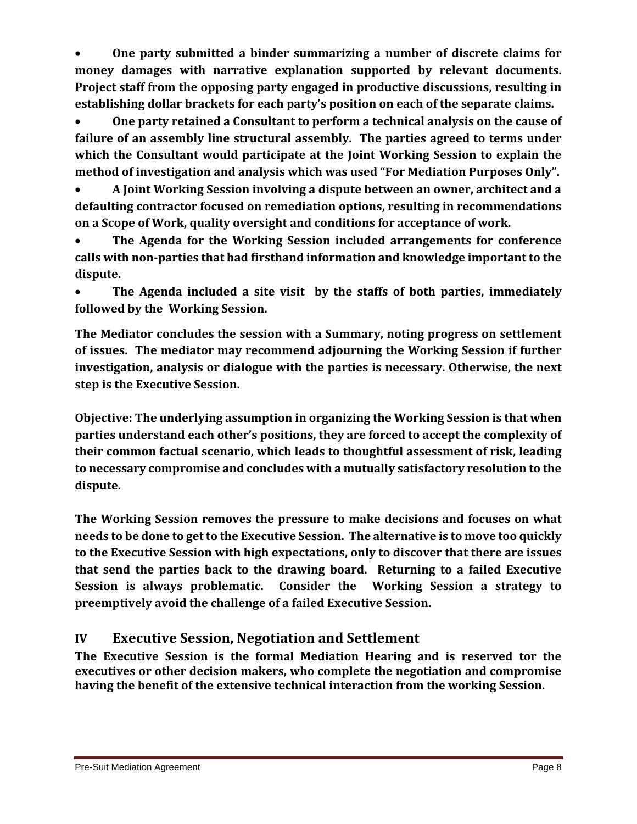• **One party submitted a binder summarizing a number of discrete claims for money damages with narrative explanation supported by relevant documents. Project staff from the opposing party engaged in productive discussions, resulting in establishing dollar brackets for each party's position on each of the separate claims.**

• **One party retained a Consultant to perform a technical analysis on the cause of failure of an assembly line structural assembly. The parties agreed to terms under which the Consultant would participate at the Joint Working Session to explain the method of investigation and analysis which was used "For Mediation Purposes Only".**

• **A Joint Working Session involving a dispute between an owner, architect and a defaulting contractor focused on remediation options, resulting in recommendations on a Scope of Work, quality oversight and conditions for acceptance of work.**

• **The Agenda for the Working Session included arrangements for conference calls with non-parties that had firsthand information and knowledge important to the dispute.**

• **The Agenda included a site visit by the staffs of both parties, immediately followed by the Working Session.**

**The Mediator concludes the session with a Summary, noting progress on settlement of issues. The mediator may recommend adjourning the Working Session if further investigation, analysis or dialogue with the parties is necessary. Otherwise, the next step is the Executive Session.**

**Objective: The underlying assumption in organizing the Working Session is that when parties understand each other's positions, they are forced to accept the complexity of their common factual scenario, which leads to thoughtful assessment of risk, leading to necessary compromise and concludes with a mutually satisfactory resolution to the dispute.**

**The Working Session removes the pressure to make decisions and focuses on what needs to be done to get to the Executive Session. The alternative is to move too quickly to the Executive Session with high expectations, only to discover that there are issues that send the parties back to the drawing board. Returning to a failed Executive Session is always problematic. Consider the Working Session a strategy to preemptively avoid the challenge of a failed Executive Session.**

## **IV Executive Session, Negotiation and Settlement**

**The Executive Session is the formal Mediation Hearing and is reserved tor the executives or other decision makers, who complete the negotiation and compromise having the benefit of the extensive technical interaction from the working Session.**